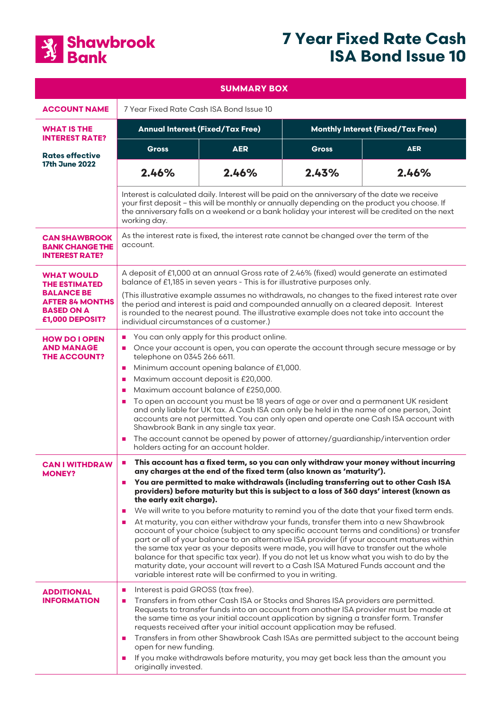

# **7 Year Fixed Rate Cash ISA Bond Issue 10**

| <b>SUMMARY BOX</b>                                                                                                               |                                                                                                                                                                                                                                                                                                                                                                                                                                                                                                                                                                                                                                                                                                                                                                                                                                                                                                                                                                                                                                                                                                                                                                                         |            |                                          |            |
|----------------------------------------------------------------------------------------------------------------------------------|-----------------------------------------------------------------------------------------------------------------------------------------------------------------------------------------------------------------------------------------------------------------------------------------------------------------------------------------------------------------------------------------------------------------------------------------------------------------------------------------------------------------------------------------------------------------------------------------------------------------------------------------------------------------------------------------------------------------------------------------------------------------------------------------------------------------------------------------------------------------------------------------------------------------------------------------------------------------------------------------------------------------------------------------------------------------------------------------------------------------------------------------------------------------------------------------|------------|------------------------------------------|------------|
| <b>ACCOUNT NAME</b>                                                                                                              | 7 Year Fixed Rate Cash ISA Bond Issue 10                                                                                                                                                                                                                                                                                                                                                                                                                                                                                                                                                                                                                                                                                                                                                                                                                                                                                                                                                                                                                                                                                                                                                |            |                                          |            |
| <b>WHAT IS THE</b><br><b>INTEREST RATE?</b>                                                                                      | <b>Annual Interest (Fixed/Tax Free)</b>                                                                                                                                                                                                                                                                                                                                                                                                                                                                                                                                                                                                                                                                                                                                                                                                                                                                                                                                                                                                                                                                                                                                                 |            | <b>Monthly Interest (Fixed/Tax Free)</b> |            |
| <b>Rates effective</b><br><b>17th June 2022</b>                                                                                  | <b>Gross</b>                                                                                                                                                                                                                                                                                                                                                                                                                                                                                                                                                                                                                                                                                                                                                                                                                                                                                                                                                                                                                                                                                                                                                                            | <b>AER</b> | <b>Gross</b>                             | <b>AER</b> |
|                                                                                                                                  | 2.46%                                                                                                                                                                                                                                                                                                                                                                                                                                                                                                                                                                                                                                                                                                                                                                                                                                                                                                                                                                                                                                                                                                                                                                                   | 2.46%      | 2.43%                                    | 2.46%      |
|                                                                                                                                  | Interest is calculated daily. Interest will be paid on the anniversary of the date we receive<br>your first deposit - this will be monthly or annually depending on the product you choose. If<br>the anniversary falls on a weekend or a bank holiday your interest will be credited on the next<br>working day.                                                                                                                                                                                                                                                                                                                                                                                                                                                                                                                                                                                                                                                                                                                                                                                                                                                                       |            |                                          |            |
| <b>CAN SHAWBROOK</b><br><b>BANK CHANGE THE</b><br><b>INTEREST RATE?</b>                                                          | As the interest rate is fixed, the interest rate cannot be changed over the term of the<br>account.                                                                                                                                                                                                                                                                                                                                                                                                                                                                                                                                                                                                                                                                                                                                                                                                                                                                                                                                                                                                                                                                                     |            |                                          |            |
| <b>WHAT WOULD</b><br><b>THE ESTIMATED</b><br><b>BALANCE BE</b><br><b>AFTER 84 MONTHS</b><br><b>BASED ON A</b><br>£1,000 DEPOSIT? | A deposit of £1,000 at an annual Gross rate of 2.46% (fixed) would generate an estimated<br>balance of £1,185 in seven years - This is for illustrative purposes only.<br>(This illustrative example assumes no withdrawals, no changes to the fixed interest rate over<br>the period and interest is paid and compounded annually on a cleared deposit. Interest<br>is rounded to the nearest pound. The illustrative example does not take into account the<br>individual circumstances of a customer.)                                                                                                                                                                                                                                                                                                                                                                                                                                                                                                                                                                                                                                                                               |            |                                          |            |
| <b>HOW DO I OPEN</b><br><b>AND MANAGE</b><br><b>THE ACCOUNT?</b>                                                                 | You can only apply for this product online.<br>$\mathcal{L}_{\mathcal{A}}$<br>Once your account is open, you can operate the account through secure message or by<br>$\blacksquare$<br>telephone on 0345 266 6611.<br>Minimum account opening balance of £1,000.<br>$\mathcal{L}_{\mathcal{A}}$<br>Maximum account deposit is £20,000.<br>a.<br>Maximum account balance of £250,000.<br>$\mathbf{r}$<br>To open an account you must be 18 years of age or over and a permanent UK resident<br>$\mathcal{L}_{\mathcal{A}}$<br>and only liable for UK tax. A Cash ISA can only be held in the name of one person, Joint<br>accounts are not permitted. You can only open and operate one Cash ISA account with<br>Shawbrook Bank in any single tax year.<br>The account cannot be opened by power of attorney/guardianship/intervention order<br>$\blacksquare$<br>holders acting for an account holder.                                                                                                                                                                                                                                                                                  |            |                                          |            |
| <b>CAN I WITHDRAW</b><br><b>MONEY?</b>                                                                                           | This account has a fixed term, so you can only withdraw your money without incurring<br>$\mathcal{L}_{\mathcal{A}}$<br>any charges at the end of the fixed term (also known as 'maturity').<br>You are permitted to make withdrawals (including transferring out to other Cash ISA<br>$\mathcal{L}_{\mathcal{A}}$<br>providers) before maturity but this is subject to a loss of 360 days' interest (known as<br>the early exit charge).<br>We will write to you before maturity to remind you of the date that your fixed term ends.<br><b>COL</b><br>At maturity, you can either withdraw your funds, transfer them into a new Shawbrook<br>a.<br>account of your choice (subject to any specific account terms and conditions) or transfer<br>part or all of your balance to an alternative ISA provider (if your account matures within<br>the same tax year as your deposits were made, you will have to transfer out the whole<br>balance for that specific tax year). If you do not let us know what you wish to do by the<br>maturity date, your account will revert to a Cash ISA Matured Funds account and the<br>variable interest rate will be confirmed to you in writing. |            |                                          |            |
| <b>ADDITIONAL</b><br><b>INFORMATION</b>                                                                                          | Interest is paid GROSS (tax free).<br>$\mathcal{L}_{\mathcal{A}}$<br>Transfers in from other Cash ISA or Stocks and Shares ISA providers are permitted.<br>$\mathcal{L}_{\mathcal{A}}$<br>Requests to transfer funds into an account from another ISA provider must be made at<br>the same time as your initial account application by signing a transfer form. Transfer<br>requests received after your initial account application may be refused.<br>Transfers in from other Shawbrook Cash ISAs are permitted subject to the account being<br>$\blacksquare$<br>open for new funding.<br>If you make withdrawals before maturity, you may get back less than the amount you<br>$\mathcal{L}_{\mathcal{A}}$<br>originally invested.                                                                                                                                                                                                                                                                                                                                                                                                                                                  |            |                                          |            |